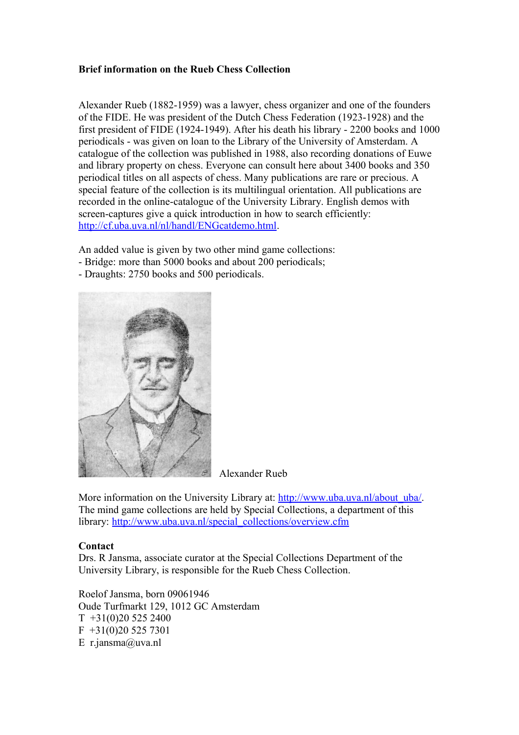## **Brief information on the Rueb Chess Collection**

Alexander Rueb (1882-1959) was a lawyer, chess organizer and one of the founders of the FIDE. He was president of the Dutch Chess Federation (1923-1928) and the first president of FIDE (1924-1949). After his death his library - 2200 books and 1000 periodicals - was given on loan to the Library of the University of Amsterdam. A catalogue of the collection was published in 1988, also recording donations of Euwe and library property on chess. Everyone can consult here about 3400 books and 350 periodical titles on all aspects of chess. Many publications are rare or precious. A special feature of the collection is its multilingual orientation. All publications are recorded in the online-catalogue of the University Library. English demos with screen-captures give a quick introduction in how to search efficiently: [http://cf.uba.uva.nl/nl/handl/ENGcatdemo.html.](http://cf.uba.uva.nl/nl/handl/ENGcatdemo.html)

An added value is given by two other mind game collections:

- Bridge: more than 5000 books and about 200 periodicals;
- Draughts: 2750 books and 500 periodicals.



Alexander Rueb

More information on the University Library at: [http://www.uba.uva.nl/about\\_uba/.](http://www.uba.uva.nl/about_uba/) The mind game collections are held by Special Collections, a department of this library: [http://www.uba.uva.nl/special\\_collections/overview.cfm](http://www.uba.uva.nl/special_collections/overview.cfm)

## **Contact**

Drs. R Jansma, associate curator at the Special Collections Department of the University Library, is responsible for the Rueb Chess Collection.

Roelof Jansma, born 09061946 Oude Turfmarkt 129, 1012 GC Amsterdam  $T +31(0)205252400$  $F +31(0)205257301$ E r.jansma@uva.nl